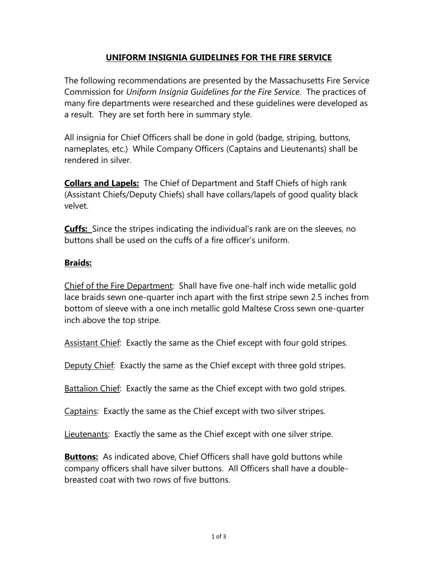## **UNIFORM INSIGNIA GUIDELINES FOR THE FIRE SERVICE**

The following recommendations are presented by the Massachusetts Fire Service Commission for *Uniform Insignia Guidelines for the Fire Service.* The practices of many fire departments were researched and these guidelines were developed as a result. They are set forth here in summary style.

All insignia for Chief Officers shall be done in gold (badge, striping, buttons, nameplates, etc.) While Company Officers (Captains and Lieutenants) shall be rendered in silver.

**Collars and Lapels:** The Chief of Department and Staff Chiefs of high rank (Assistant Chiefs/Deputy Chiefs) shall have collars/lapels of good quality black velvet.

**Cuffs:** Since the stripes indicating the individual's rank are on the sleeves, no buttons shall be used on the cuffs of a fire officer's uniform.

## **Braids:**

Chief of the Fire Department: Shall have five one-half inch wide metallic gold lace braids sewn one-quarter inch apart with the first stripe sewn 2.5 inches from bottom of sleeve with a one inch metallic gold Maltese Cross sewn one-quarter inch above the top stripe.

Assistant Chief: Exactly the same as the Chief except with four gold stripes.

Deputy Chief: Exactly the same as the Chief except with three gold stripes.

Battalion Chief: Exactly the same as the Chief except with two gold stripes.

Captains: Exactly the same as the Chief except with two silver stripes.

Lieutenants: Exactly the same as the Chief except with one silver stripe.

**Buttons:** As indicated above, Chief Officers shall have gold buttons while company officers shall have silver buttons. All Officers shall have a doublebreasted coat with two rows of five buttons.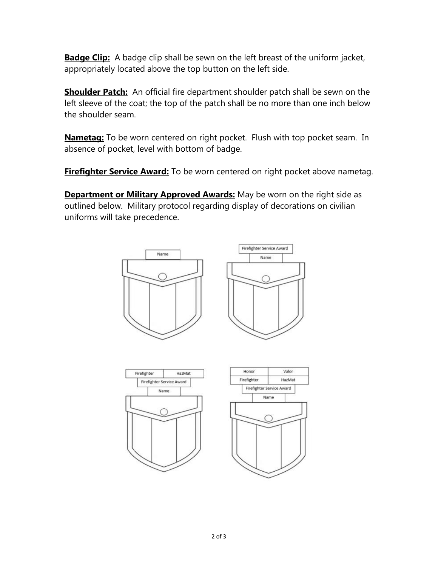**Badge Clip:** A badge clip shall be sewn on the left breast of the uniform jacket, appropriately located above the top button on the left side.

**Shoulder Patch:** An official fire department shoulder patch shall be sewn on the left sleeve of the coat; the top of the patch shall be no more than one inch below the shoulder seam.

**Nametag:** To be worn centered on right pocket. Flush with top pocket seam. In absence of pocket, level with bottom of badge.

**Firefighter Service Award:** To be worn centered on right pocket above nametag.

**Department or Military Approved Awards:** May be worn on the right side as outlined below. Military protocol regarding display of decorations on civilian uniforms will take precedence.